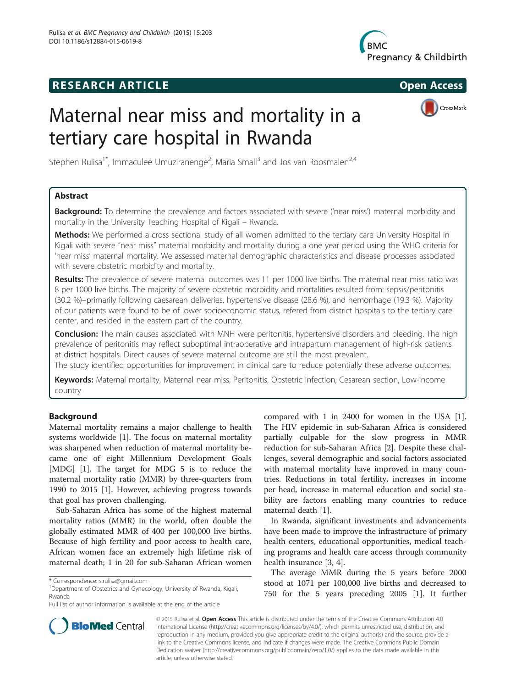# **RESEARCH ARTICLE Example 2014 The SEAR CH ACCESS**



# Maternal near miss and mortality in a tertiary care hospital in Rwanda



Stephen Rulisa<sup>1\*</sup>, Immaculee Umuziranenge<sup>2</sup>, Maria Small<sup>3</sup> and Jos van Roosmalen<sup>2,4</sup>

# Abstract

**Background:** To determine the prevalence and factors associated with severe ('near miss') maternal morbidity and mortality in the University Teaching Hospital of Kigali – Rwanda.

Methods: We performed a cross sectional study of all women admitted to the tertiary care University Hospital in Kigali with severe "near miss" maternal morbidity and mortality during a one year period using the WHO criteria for 'near miss' maternal mortality. We assessed maternal demographic characteristics and disease processes associated with severe obstetric morbidity and mortality.

Results: The prevalence of severe maternal outcomes was 11 per 1000 live births. The maternal near miss ratio was 8 per 1000 live births. The majority of severe obstetric morbidity and mortalities resulted from: sepsis/peritonitis (30.2 %)–primarily following caesarean deliveries, hypertensive disease (28.6 %), and hemorrhage (19.3 %). Majority of our patients were found to be of lower socioeconomic status, refered from district hospitals to the tertiary care center, and resided in the eastern part of the country.

Conclusion: The main causes associated with MNH were peritonitis, hypertensive disorders and bleeding. The high prevalence of peritonitis may reflect suboptimal intraoperative and intrapartum management of high-risk patients at district hospitals. Direct causes of severe maternal outcome are still the most prevalent.

The study identified opportunities for improvement in clinical care to reduce potentially these adverse outcomes.

Keywords: Maternal mortality, Maternal near miss, Peritonitis, Obstetric infection, Cesarean section, Low-income country

# Background

Maternal mortality remains a major challenge to health systems worldwide [[1\]](#page-6-0). The focus on maternal mortality was sharpened when reduction of maternal mortality became one of eight Millennium Development Goals [MDG] [\[1](#page-6-0)]. The target for MDG 5 is to reduce the maternal mortality ratio (MMR) by three-quarters from 1990 to 2015 [\[1](#page-6-0)]. However, achieving progress towards that goal has proven challenging.

Sub-Saharan Africa has some of the highest maternal mortality ratios (MMR) in the world, often double the globally estimated MMR of 400 per 100,000 live births. Because of high fertility and poor access to health care, African women face an extremely high lifetime risk of maternal death; 1 in 20 for sub-Saharan African women

<sup>1</sup>Department of Obstetrics and Gynecology, University of Rwanda, Kigali, Rwanda

Full list of author information is available at the end of the article

compared with 1 in 2400 for women in the USA [\[1](#page-6-0)]. The HIV epidemic in sub-Saharan Africa is considered partially culpable for the slow progress in MMR reduction for sub-Saharan Africa [[2\]](#page-6-0). Despite these challenges, several demographic and social factors associated with maternal mortality have improved in many countries. Reductions in total fertility, increases in income per head, increase in maternal education and social stability are factors enabling many countries to reduce maternal death [\[1](#page-6-0)].

In Rwanda, significant investments and advancements have been made to improve the infrastructure of primary health centers, educational opportunities, medical teaching programs and health care access through community health insurance [\[3](#page-6-0), [4](#page-6-0)].

The average MMR during the 5 years before 2000 stood at 1071 per 100,000 live births and decreased to 750 for the 5 years preceding 2005 [[1\]](#page-6-0). It further



© 2015 Rulisa et al. Open Access This article is distributed under the terms of the Creative Commons Attribution 4.0 International License [\(http://creativecommons.org/licenses/by/4.0/\)](http://creativecommons.org/licenses/by/4.0/), which permits unrestricted use, distribution, and reproduction in any medium, provided you give appropriate credit to the original author(s) and the source, provide a link to the Creative Commons license, and indicate if changes were made. The Creative Commons Public Domain Dedication waiver ([http://creativecommons.org/publicdomain/zero/1.0/\)](http://creativecommons.org/publicdomain/zero/1.0/) applies to the data made available in this article, unless otherwise stated.

<sup>\*</sup> Correspondence: [s.rulisa@gmail.com](mailto:s.rulisa@gmail.com) <sup>1</sup>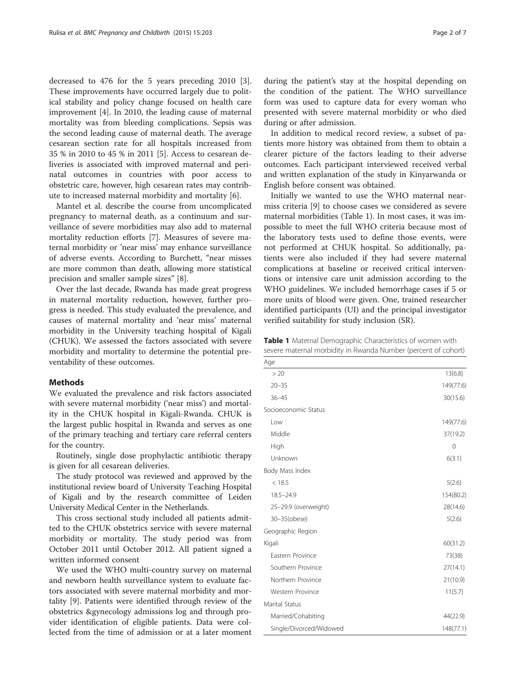<span id="page-1-0"></span>decreased to 476 for the 5 years preceding 2010 [\[3](#page-6-0)]. These improvements have occurred largely due to political stability and policy change focused on health care improvement [[4\]](#page-6-0). In 2010, the leading cause of maternal mortality was from bleeding complications. Sepsis was the second leading cause of maternal death. The average cesarean section rate for all hospitals increased from 35 % in 2010 to 45 % in 2011 [\[5](#page-6-0)]. Access to cesarean deliveries is associated with improved maternal and perinatal outcomes in countries with poor access to obstetric care, however, high cesarean rates may contribute to increased maternal morbidity and mortality [\[6](#page-6-0)].

Mantel et al. describe the course from uncomplicated pregnancy to maternal death, as a continuum and surveillance of severe morbidities may also add to maternal mortality reduction efforts [[7\]](#page-6-0). Measures of severe maternal morbidity or 'near miss' may enhance surveillance of adverse events. According to Burchett, "near misses are more common than death, allowing more statistical precision and smaller sample sizes" [\[8](#page-6-0)].

Over the last decade, Rwanda has made great progress in maternal mortality reduction, however, further progress is needed. This study evaluated the prevalence, and causes of maternal mortality and 'near miss' maternal morbidity in the University teaching hospital of Kigali (CHUK). We assessed the factors associated with severe morbidity and mortality to determine the potential preventability of these outcomes.

#### **Methods**

We evaluated the prevalence and risk factors associated with severe maternal morbidity ('near miss') and mortality in the CHUK hospital in Kigali-Rwanda. CHUK is the largest public hospital in Rwanda and serves as one of the primary teaching and tertiary care referral centers for the country.

Routinely, single dose prophylactic antibiotic therapy is given for all cesarean deliveries.

The study protocol was reviewed and approved by the institutional review board of University Teaching Hospital of Kigali and by the research committee of Leiden University Medical Center in the Netherlands.

This cross sectional study included all patients admitted to the CHUK obstetrics service with severe maternal morbidity or mortality. The study period was from October 2011 until October 2012. All patient signed a written informed consent

We used the WHO multi-country survey on maternal and newborn health surveillance system to evaluate factors associated with severe maternal morbidity and mortality [[9\]](#page-6-0). Patients were identified through review of the obstetrics &gynecology admissions log and through provider identification of eligible patients. Data were collected from the time of admission or at a later moment during the patient's stay at the hospital depending on the condition of the patient. The WHO surveillance form was used to capture data for every woman who presented with severe maternal morbidity or who died during or after admission.

In addition to medical record review, a subset of patients more history was obtained from them to obtain a clearer picture of the factors leading to their adverse outcomes. Each participant interviewed received verbal and written explanation of the study in Kinyarwanda or English before consent was obtained.

Initially we wanted to use the WHO maternal nearmiss criteria [\[9](#page-6-0)] to choose cases we considered as severe maternal morbidities (Table 1). In most cases, it was impossible to meet the full WHO criteria because most of the laboratory tests used to define those events, were not performed at CHUK hospital. So additionally, patients were also included if they had severe maternal complications at baseline or received critical interventions or intensive care unit admission according to the WHO guidelines. We included hemorrhage cases if 5 or more units of blood were given. One, trained researcher identified participants (UI) and the principal investigator verified suitability for study inclusion (SR).

Table 1 Maternal Demographic Characteristics of women with severe maternal morbidity in Rwanda Number (percent of cohort)

| Age                     |              |
|-------------------------|--------------|
| > 20                    | 13(6.8)      |
| $20 - 35$               | 149(77.6)    |
| $36 - 45$               | 30(15.6)     |
| Socioeconomic Status    |              |
| Low                     | 149(77.6)    |
| Middle                  | 37(19.2)     |
| High                    | $\mathbf{0}$ |
| Unknown                 | 6(3.1)       |
| Body Mass Index         |              |
| < 18.5                  | 5(2.6)       |
| $18.5 - 24.9$           | 154(80.2)    |
| 25-29.9 (overweight)    | 28(14.6)     |
| 30-35(obese)            | 5(2.6)       |
| Geographic Region       |              |
| Kigali                  | 60(31.2)     |
| Eastern Province        | 73(38)       |
| Southern Province       | 27(14.1)     |
| Northern Province       | 21(10.9)     |
| <b>Western Province</b> | 11(5.7)      |
| Marital Status          |              |
| Married/Cohabiting      | 44(22.9)     |
| Single/Divorced/Widowed | 148(77.1)    |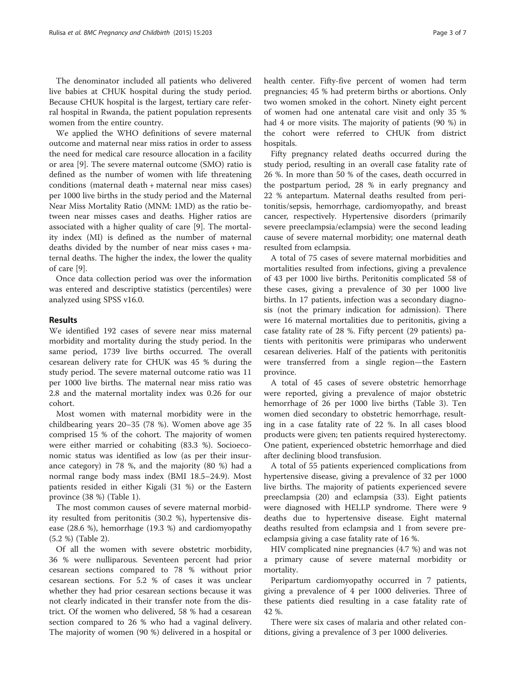The denominator included all patients who delivered live babies at CHUK hospital during the study period. Because CHUK hospital is the largest, tertiary care referral hospital in Rwanda, the patient population represents women from the entire country.

We applied the WHO definitions of severe maternal outcome and maternal near miss ratios in order to assess the need for medical care resource allocation in a facility or area [[9\]](#page-6-0). The severe maternal outcome (SMO) ratio is defined as the number of women with life threatening conditions (maternal death + maternal near miss cases) per 1000 live births in the study period and the Maternal Near Miss Mortality Ratio (MNM: 1MD) as the ratio between near misses cases and deaths. Higher ratios are associated with a higher quality of care [\[9](#page-6-0)]. The mortality index (MI) is defined as the number of maternal deaths divided by the number of near miss cases + maternal deaths. The higher the index, the lower the quality of care [[9\]](#page-6-0).

Once data collection period was over the information was entered and descriptive statistics (percentiles) were analyzed using SPSS v16.0.

#### Results

We identified 192 cases of severe near miss maternal morbidity and mortality during the study period. In the same period, 1739 live births occurred. The overall cesarean delivery rate for CHUK was 45 % during the study period. The severe maternal outcome ratio was 11 per 1000 live births. The maternal near miss ratio was 2.8 and the maternal mortality index was 0.26 for our cohort.

Most women with maternal morbidity were in the childbearing years 20–35 (78 %). Women above age 35 comprised 15 % of the cohort. The majority of women were either married or cohabiting (83.3 %). Socioeconomic status was identified as low (as per their insurance category) in 78 %, and the majority (80 %) had a normal range body mass index (BMI 18.5–24.9). Most patients resided in either Kigali (31 %) or the Eastern province (38 %) (Table [1](#page-1-0)).

The most common causes of severe maternal morbidity resulted from peritonitis (30.2 %), hypertensive disease (28.6 %), hemorrhage (19.3 %) and cardiomyopathy (5.2 %) (Table [2\)](#page-3-0).

Of all the women with severe obstetric morbidity, 36 % were nulliparous. Seventeen percent had prior cesarean sections compared to 78 % without prior cesarean sections. For 5.2 % of cases it was unclear whether they had prior cesarean sections because it was not clearly indicated in their transfer note from the district. Of the women who delivered, 58 % had a cesarean section compared to 26 % who had a vaginal delivery. The majority of women (90 %) delivered in a hospital or health center. Fifty-five percent of women had term pregnancies; 45 % had preterm births or abortions. Only two women smoked in the cohort. Ninety eight percent of women had one antenatal care visit and only 35 % had 4 or more visits. The majority of patients (90 %) in the cohort were referred to CHUK from district hospitals.

Fifty pregnancy related deaths occurred during the study period, resulting in an overall case fatality rate of 26 %. In more than 50 % of the cases, death occurred in the postpartum period, 28 % in early pregnancy and 22 % antepartum. Maternal deaths resulted from peritonitis/sepsis, hemorrhage, cardiomyopathy, and breast cancer, respectively. Hypertensive disorders (primarily severe preeclampsia/eclampsia) were the second leading cause of severe maternal morbidity; one maternal death resulted from eclampsia.

A total of 75 cases of severe maternal morbidities and mortalities resulted from infections, giving a prevalence of 43 per 1000 live births. Peritonitis complicated 58 of these cases, giving a prevalence of 30 per 1000 live births. In 17 patients, infection was a secondary diagnosis (not the primary indication for admission). There were 16 maternal mortalities due to peritonitis, giving a case fatality rate of 28 %. Fifty percent (29 patients) patients with peritonitis were primiparas who underwent cesarean deliveries. Half of the patients with peritonitis were transferred from a single region—the Eastern province.

A total of 45 cases of severe obstetric hemorrhage were reported, giving a prevalence of major obstetric hemorrhage of 26 per 1000 live births (Table [3\)](#page-3-0). Ten women died secondary to obstetric hemorrhage, resulting in a case fatality rate of 22 %. In all cases blood products were given; ten patients required hysterectomy. One patient, experienced obstetric hemorrhage and died after declining blood transfusion.

A total of 55 patients experienced complications from hypertensive disease, giving a prevalence of 32 per 1000 live births. The majority of patients experienced severe preeclampsia (20) and eclampsia (33). Eight patients were diagnosed with HELLP syndrome. There were 9 deaths due to hypertensive disease. Eight maternal deaths resulted from eclampsia and 1 from severe preeclampsia giving a case fatality rate of 16 %.

HIV complicated nine pregnancies (4.7 %) and was not a primary cause of severe maternal morbidity or mortality.

Peripartum cardiomyopathy occurred in 7 patients, giving a prevalence of 4 per 1000 deliveries. Three of these patients died resulting in a case fatality rate of 42 %.

There were six cases of malaria and other related conditions, giving a prevalence of 3 per 1000 deliveries.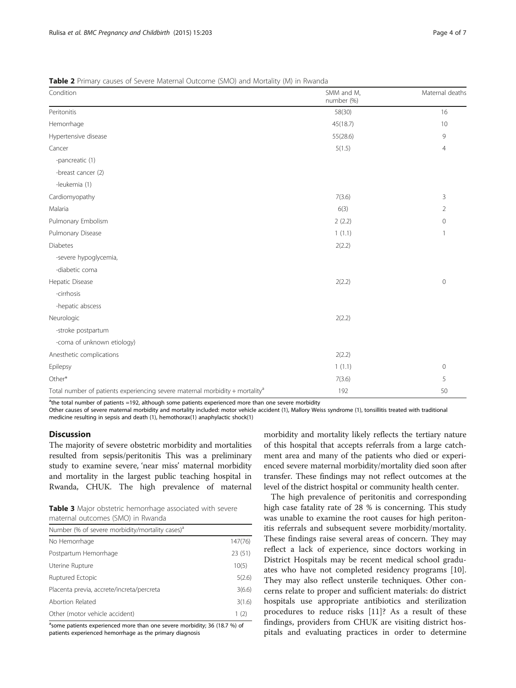<span id="page-3-0"></span>

| Table 2 Primary causes of Severe Maternal Outcome (SMO) and Mortality (M) in Rwanda |  |
|-------------------------------------------------------------------------------------|--|
|-------------------------------------------------------------------------------------|--|

| Condition                                                                                | SMM and M,<br>number (%) | Maternal deaths |
|------------------------------------------------------------------------------------------|--------------------------|-----------------|
| Peritonitis                                                                              | 58(30)                   | 16              |
| Hemorrhage                                                                               | 45(18.7)                 | 10              |
| Hypertensive disease                                                                     | 55(28.6)                 | 9               |
| Cancer                                                                                   | 5(1.5)                   | 4               |
| -pancreatic (1)                                                                          |                          |                 |
| -breast cancer (2)                                                                       |                          |                 |
| -leukemia (1)                                                                            |                          |                 |
| Cardiomyopathy                                                                           | 7(3.6)                   | 3               |
| Malaria                                                                                  | 6(3)                     | 2               |
| Pulmonary Embolism                                                                       | 2(2.2)                   | $\mathbf{0}$    |
| Pulmonary Disease                                                                        | 1(1.1)                   | 1               |
| <b>Diabetes</b>                                                                          | 2(2.2)                   |                 |
| -severe hypoglycemia,                                                                    |                          |                 |
| -diabetic coma                                                                           |                          |                 |
| Hepatic Disease                                                                          | 2(2.2)                   | $\mathbf{0}$    |
| -cirrhosis                                                                               |                          |                 |
| -hepatic abscess                                                                         |                          |                 |
| Neurologic                                                                               | 2(2.2)                   |                 |
| -stroke postpartum                                                                       |                          |                 |
| -coma of unknown etiology)                                                               |                          |                 |
| Anesthetic complications                                                                 | 2(2.2)                   |                 |
| Epilepsy                                                                                 | 1(1.1)                   | $\mathbf{0}$    |
| Other*                                                                                   | 7(3.6)                   | 5               |
| Total number of patients experiencing severe maternal morbidity + mortality <sup>a</sup> | 192                      | 50              |

<sup>a</sup>the total number of patients =192, although some patients experienced more than one severe morbidity

Other causes of severe maternal morbidity and mortality included: motor vehicle accident (1), Mallory Weiss syndrome (1), tonsillitis treated with traditional medicine resulting in sepsis and death (1), hemothorax(1) anaphylactic shock(1)

#### **Discussion**

The majority of severe obstetric morbidity and mortalities resulted from sepsis/peritonitis This was a preliminary study to examine severe, 'near miss' maternal morbidity and mortality in the largest public teaching hospital in Rwanda, CHUK. The high prevalence of maternal

Table 3 Major obstetric hemorrhage associated with severe maternal outcomes (SMO) in Rwanda

| Number (% of severe morbidity/mortality cases) <sup>a</sup><br>No Hemorrhage<br>147(76)<br>23 (51)<br>Postpartum Hemorrhage<br>10(5)<br>Uterine Rupture<br>5(2.6)<br>Ruptured Ectopic<br>Placenta previa, accrete/increta/percreta<br>3(6.6)<br>Abortion Related<br>3(1.6)<br>Other (motor vehicle accident)<br>1 (2) |  |  |  |
|-----------------------------------------------------------------------------------------------------------------------------------------------------------------------------------------------------------------------------------------------------------------------------------------------------------------------|--|--|--|
|                                                                                                                                                                                                                                                                                                                       |  |  |  |
|                                                                                                                                                                                                                                                                                                                       |  |  |  |
|                                                                                                                                                                                                                                                                                                                       |  |  |  |
|                                                                                                                                                                                                                                                                                                                       |  |  |  |
|                                                                                                                                                                                                                                                                                                                       |  |  |  |
|                                                                                                                                                                                                                                                                                                                       |  |  |  |
|                                                                                                                                                                                                                                                                                                                       |  |  |  |
|                                                                                                                                                                                                                                                                                                                       |  |  |  |

<sup>a</sup>some patients experienced more than one severe morbidity; 36 (18.7 %) of patients experienced hemorrhage as the primary diagnosis

morbidity and mortality likely reflects the tertiary nature of this hospital that accepts referrals from a large catchment area and many of the patients who died or experienced severe maternal morbidity/mortality died soon after transfer. These findings may not reflect outcomes at the level of the district hospital or community health center.

The high prevalence of peritonitis and corresponding high case fatality rate of 28 % is concerning. This study was unable to examine the root causes for high peritonitis referrals and subsequent severe morbidity/mortality. These findings raise several areas of concern. They may reflect a lack of experience, since doctors working in District Hospitals may be recent medical school graduates who have not completed residency programs [\[10](#page-6-0)]. They may also reflect unsterile techniques. Other concerns relate to proper and sufficient materials: do district hospitals use appropriate antibiotics and sterilization procedures to reduce risks [\[11](#page-6-0)]? As a result of these findings, providers from CHUK are visiting district hospitals and evaluating practices in order to determine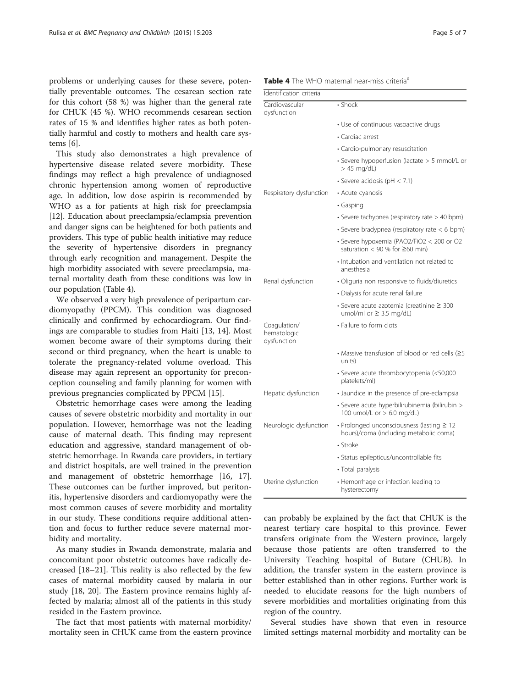problems or underlying causes for these severe, potentially preventable outcomes. The cesarean section rate for this cohort (58 %) was higher than the general rate for CHUK (45 %). WHO recommends cesarean section rates of 15 % and identifies higher rates as both potentially harmful and costly to mothers and health care systems [\[6](#page-6-0)].

This study also demonstrates a high prevalence of hypertensive disease related severe morbidity. These findings may reflect a high prevalence of undiagnosed chronic hypertension among women of reproductive age. In addition, low dose aspirin is recommended by WHO as a for patients at high risk for preeclampsia [[12](#page-6-0)]. Education about preeclampsia/eclampsia prevention and danger signs can be heightened for both patients and providers. This type of public health initiative may reduce the severity of hypertensive disorders in pregnancy through early recognition and management. Despite the high morbidity associated with severe preeclampsia, maternal mortality death from these conditions was low in our population (Table 4).

We observed a very high prevalence of peripartum cardiomyopathy (PPCM). This condition was diagnosed clinically and confirmed by echocardiogram. Our findings are comparable to studies from Haiti [[13, 14\]](#page-6-0). Most women become aware of their symptoms during their second or third pregnancy, when the heart is unable to tolerate the pregnancy-related volume overload. This disease may again represent an opportunity for preconception counseling and family planning for women with previous pregnancies complicated by PPCM [[15](#page-6-0)].

Obstetric hemorrhage cases were among the leading causes of severe obstetric morbidity and mortality in our population. However, hemorrhage was not the leading cause of maternal death. This finding may represent education and aggressive, standard management of obstetric hemorrhage. In Rwanda care providers, in tertiary and district hospitals, are well trained in the prevention and management of obstetric hemorrhage [\[16](#page-6-0), [17](#page-6-0)]. These outcomes can be further improved, but peritonitis, hypertensive disorders and cardiomyopathy were the most common causes of severe morbidity and mortality in our study. These conditions require additional attention and focus to further reduce severe maternal morbidity and mortality.

As many studies in Rwanda demonstrate, malaria and concomitant poor obstetric outcomes have radically decreased [[18](#page-6-0)–[21](#page-6-0)]. This reality is also reflected by the few cases of maternal morbidity caused by malaria in our study [[18, 20](#page-6-0)]. The Eastern province remains highly affected by malaria; almost all of the patients in this study resided in the Eastern province.

The fact that most patients with maternal morbidity/ mortality seen in CHUK came from the eastern province

|  |  |  |  | <b>Table 4</b> The WHO maternal near-miss criteria <sup>a</sup> |  |
|--|--|--|--|-----------------------------------------------------------------|--|
|--|--|--|--|-----------------------------------------------------------------|--|

| Identification criteria                    |                                                                                          |  |
|--------------------------------------------|------------------------------------------------------------------------------------------|--|
| Cardiovascular<br>dysfunction              | $\cdot$ Shock                                                                            |  |
|                                            | · Use of continuous vasoactive drugs                                                     |  |
|                                            | • Cardiac arrest                                                                         |  |
|                                            | · Cardio-pulmonary resuscitation                                                         |  |
|                                            | · Severe hypoperfusion (lactate > 5 mmol/L or<br>$> 45$ mg/dL)                           |  |
|                                            | • Severe acidosis (pH $<$ 7.1)                                                           |  |
| Respiratory dysfunction                    | • Acute cyanosis                                                                         |  |
|                                            | • Gasping                                                                                |  |
|                                            | • Severe tachypnea (respiratory rate > 40 bpm)                                           |  |
|                                            | · Severe bradypnea (respiratory rate < 6 bpm)                                            |  |
|                                            | · Severe hypoxemia (PAO2/FiO2 < 200 or O2<br>saturation < 90 % for $\geq$ 60 min)        |  |
|                                            | • Intubation and ventilation not related to<br>anesthesia                                |  |
| Renal dysfunction                          | • Oliguria non responsive to fluids/diuretics                                            |  |
|                                            | • Dialysis for acute renal failure                                                       |  |
|                                            | $\cdot$ Severe acute azotemia (creatinine $\geq$ 300<br>umol/ml or $\geq$ 3.5 mg/dL)     |  |
| Coagulation/<br>hematologic<br>dysfunction | • Failure to form clots                                                                  |  |
|                                            | • Massive transfusion of blood or red cells (25<br>units)                                |  |
|                                            | · Severe acute thrombocytopenia (<50,000<br>platelets/ml)                                |  |
| Hepatic dysfunction                        | • Jaundice in the presence of pre-eclampsia                                              |  |
|                                            | · Severe acute hyperbilirubinemia (bilirubin ><br>100 umol/L or $> 6.0$ mg/dL)           |  |
| Neurologic dysfunction                     | • Prolonged unconsciousness (lasting $\geq 12$<br>hours)/coma (including metabolic coma) |  |
|                                            | • Stroke                                                                                 |  |
|                                            | · Status epilepticus/uncontrollable fits                                                 |  |
|                                            | • Total paralysis                                                                        |  |
| Uterine dysfunction                        | • Hemorrhage or infection leading to<br>hysterectomy                                     |  |

can probably be explained by the fact that CHUK is the nearest tertiary care hospital to this province. Fewer transfers originate from the Western province, largely because those patients are often transferred to the University Teaching hospital of Butare (CHUB). In addition, the transfer system in the eastern province is better established than in other regions. Further work is needed to elucidate reasons for the high numbers of severe morbidities and mortalities originating from this region of the country.

Several studies have shown that even in resource limited settings maternal morbidity and mortality can be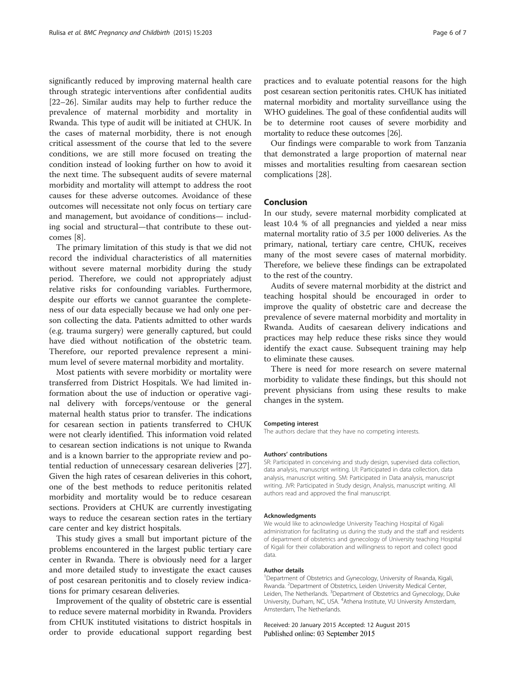significantly reduced by improving maternal health care through strategic interventions after confidential audits [[22](#page-6-0)–[26](#page-6-0)]. Similar audits may help to further reduce the prevalence of maternal morbidity and mortality in Rwanda. This type of audit will be initiated at CHUK. In the cases of maternal morbidity, there is not enough critical assessment of the course that led to the severe conditions, we are still more focused on treating the condition instead of looking further on how to avoid it the next time. The subsequent audits of severe maternal morbidity and mortality will attempt to address the root causes for these adverse outcomes. Avoidance of these outcomes will necessitate not only focus on tertiary care and management, but avoidance of conditions— including social and structural—that contribute to these outcomes [[8\]](#page-6-0).

The primary limitation of this study is that we did not record the individual characteristics of all maternities without severe maternal morbidity during the study period. Therefore, we could not appropriately adjust relative risks for confounding variables. Furthermore, despite our efforts we cannot guarantee the completeness of our data especially because we had only one person collecting the data. Patients admitted to other wards (e.g. trauma surgery) were generally captured, but could have died without notification of the obstetric team. Therefore, our reported prevalence represent a minimum level of severe maternal morbidity and mortality.

Most patients with severe morbidity or mortality were transferred from District Hospitals. We had limited information about the use of induction or operative vaginal delivery with forceps/ventouse or the general maternal health status prior to transfer. The indications for cesarean section in patients transferred to CHUK were not clearly identified. This information void related to cesarean section indications is not unique to Rwanda and is a known barrier to the appropriate review and potential reduction of unnecessary cesarean deliveries [\[27](#page-6-0)]. Given the high rates of cesarean deliveries in this cohort, one of the best methods to reduce peritonitis related morbidity and mortality would be to reduce cesarean sections. Providers at CHUK are currently investigating ways to reduce the cesarean section rates in the tertiary care center and key district hospitals.

This study gives a small but important picture of the problems encountered in the largest public tertiary care center in Rwanda. There is obviously need for a larger and more detailed study to investigate the exact causes of post cesarean peritonitis and to closely review indications for primary cesarean deliveries.

Improvement of the quality of obstetric care is essential to reduce severe maternal morbidity in Rwanda. Providers from CHUK instituted visitations to district hospitals in order to provide educational support regarding best practices and to evaluate potential reasons for the high post cesarean section peritonitis rates. CHUK has initiated maternal morbidity and mortality surveillance using the WHO guidelines. The goal of these confidential audits will be to determine root causes of severe morbidity and mortality to reduce these outcomes [\[26](#page-6-0)].

Our findings were comparable to work from Tanzania that demonstrated a large proportion of maternal near misses and mortalities resulting from caesarean section complications [[28\]](#page-6-0).

### Conclusion

In our study, severe maternal morbidity complicated at least 10.4 % of all pregnancies and yielded a near miss maternal mortality ratio of 3.5 per 1000 deliveries. As the primary, national, tertiary care centre, CHUK, receives many of the most severe cases of maternal morbidity. Therefore, we believe these findings can be extrapolated to the rest of the country.

Audits of severe maternal morbidity at the district and teaching hospital should be encouraged in order to improve the quality of obstetric care and decrease the prevalence of severe maternal morbidity and mortality in Rwanda. Audits of caesarean delivery indications and practices may help reduce these risks since they would identify the exact cause. Subsequent training may help to eliminate these causes.

There is need for more research on severe maternal morbidity to validate these findings, but this should not prevent physicians from using these results to make changes in the system.

#### Competing interest

The authors declare that they have no competing interests.

#### Authors' contributions

SR: Participated in conceiving and study design, supervised data collection, data analysis, manuscript writing. UI: Participated in data collection, data analysis, manuscript writing. SM: Participated in Data analysis, manuscript writing. JVR: Participated in Study design, Analysis, manuscript writing. All authors read and approved the final manuscript.

#### Acknowledgments

We would like to acknowledge University Teaching Hospital of Kigali administration for facilitating us during the study and the staff and residents of department of obstetrics and gynecology of University teaching Hospital of Kigali for their collaboration and willingness to report and collect good data.

#### Author details

<sup>1</sup>Department of Obstetrics and Gynecology, University of Rwanda, Kigali, Rwanda. <sup>2</sup>Department of Obstetrics, Leiden University Medical Center Leiden, The Netherlands. <sup>3</sup> Department of Obstetrics and Gynecology, Duke University, Durham, NC, USA. <sup>4</sup>Athena Institute, VU University Amsterdam, Amsterdam, The Netherlands.

Received: 20 January 2015 Accepted: 12 August 2015 Published online: 03 September 2015